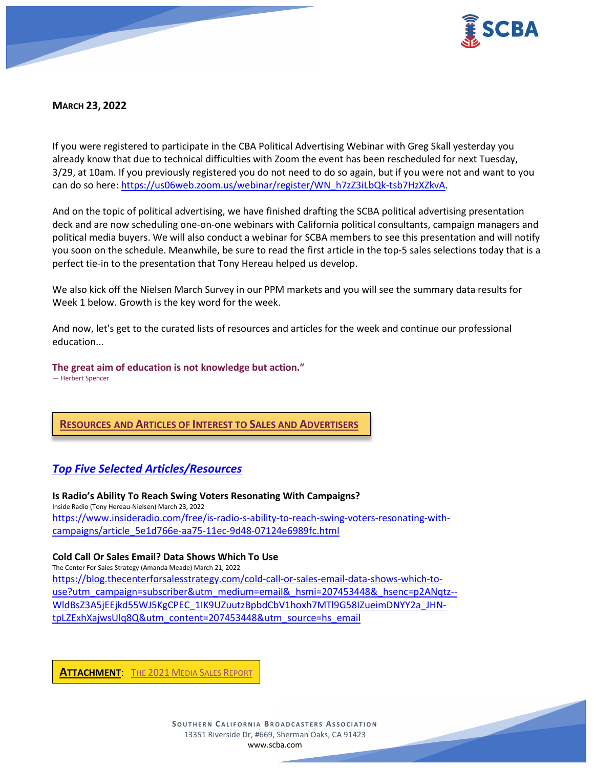

# **MARCH 23, 2022**

If you were registered to participate in the CBA Political Advertising Webinar with Greg Skall yesterday you already know that due to technical difficulties with Zoom the event has been rescheduled for next Tuesday, 3/29, at 10am. If you previously registered you do not need to do so again, but if you were not and want to you can do so here: [https://us06web.zoom.us/webinar/register/WN\\_h7zZ3iLbQk-tsb7HzXZkvA.](https://us06web.zoom.us/webinar/register/WN_h7zZ3iLbQk-tsb7HzXZkvA)

And on the topic of political advertising, we have finished drafting the SCBA political advertising presentation deck and are now scheduling one-on-one webinars with California political consultants, campaign managers and political media buyers. We will also conduct a webinar for SCBA members to see this presentation and will notify you soon on the schedule. Meanwhile, be sure to read the first article in the top-5 sales selections today that is a perfect tie-in to the presentation that Tony Hereau helped us develop.

We also kick off the Nielsen March Survey in our PPM markets and you will see the summary data results for Week 1 below. Growth is the key word for the week.

And now, let's get to the curated lists of resources and articles for the week and continue our professional education...

**The great aim of education is not knowledge but action."**

— Herbert Spencer

**RESOURCES AND ARTICLES OF INTEREST TO SALES AND ADVERTISERS**

# *Top Five Selected Articles/Resources*

**Is Radio's Ability To Reach Swing Voters Resonating With Campaigns?** Inside Radio (Tony Hereau-Nielsen) March 23, 2022 [https://www.insideradio.com/free/is-radio-s-ability-to-reach-swing-voters-resonating-with](https://www.insideradio.com/free/is-radio-s-ability-to-reach-swing-voters-resonating-with-campaigns/article_5e1d766e-aa75-11ec-9d48-07124e6989fc.html)[campaigns/article\\_5e1d766e-aa75-11ec-9d48-07124e6989fc.html](https://www.insideradio.com/free/is-radio-s-ability-to-reach-swing-voters-resonating-with-campaigns/article_5e1d766e-aa75-11ec-9d48-07124e6989fc.html)

# **Cold Call Or Sales Email? Data Shows Which To Use**

The Center For Sales Strategy (Amanda Meade) March 21, 2022 [https://blog.thecenterforsalesstrategy.com/cold-call-or-sales-email-data-shows-which-to](https://blog.thecenterforsalesstrategy.com/cold-call-or-sales-email-data-shows-which-to-use?utm_campaign=subscriber&utm_medium=email&_hsmi=207453448&_hsenc=p2ANqtz--WldBsZ3A5jEEjkd55WJ5KgCPEC_1IK9UZuutzBpbdCbV1hoxh7MTl9G58IZueimDNYY2a_JHN-tpLZExhXajwsUlq8Q&utm_content=207453448&utm_source=hs_email)[use?utm\\_campaign=subscriber&utm\\_medium=email&\\_hsmi=207453448&\\_hsenc=p2ANqtz--](https://blog.thecenterforsalesstrategy.com/cold-call-or-sales-email-data-shows-which-to-use?utm_campaign=subscriber&utm_medium=email&_hsmi=207453448&_hsenc=p2ANqtz--WldBsZ3A5jEEjkd55WJ5KgCPEC_1IK9UZuutzBpbdCbV1hoxh7MTl9G58IZueimDNYY2a_JHN-tpLZExhXajwsUlq8Q&utm_content=207453448&utm_source=hs_email) [WldBsZ3A5jEEjkd55WJ5KgCPEC\\_1IK9UZuutzBpbdCbV1hoxh7MTl9G58IZueimDNYY2a\\_JHN](https://blog.thecenterforsalesstrategy.com/cold-call-or-sales-email-data-shows-which-to-use?utm_campaign=subscriber&utm_medium=email&_hsmi=207453448&_hsenc=p2ANqtz--WldBsZ3A5jEEjkd55WJ5KgCPEC_1IK9UZuutzBpbdCbV1hoxh7MTl9G58IZueimDNYY2a_JHN-tpLZExhXajwsUlq8Q&utm_content=207453448&utm_source=hs_email)[tpLZExhXajwsUlq8Q&utm\\_content=207453448&utm\\_source=hs\\_email](https://blog.thecenterforsalesstrategy.com/cold-call-or-sales-email-data-shows-which-to-use?utm_campaign=subscriber&utm_medium=email&_hsmi=207453448&_hsenc=p2ANqtz--WldBsZ3A5jEEjkd55WJ5KgCPEC_1IK9UZuutzBpbdCbV1hoxh7MTl9G58IZueimDNYY2a_JHN-tpLZExhXajwsUlq8Q&utm_content=207453448&utm_source=hs_email)

**ATTACHMENT**: THE 2021 [MEDIA SALES REPORT](https://scba.com/wp-content/uploads/2022/04/The-2021-Media-Sales-Report.pdf)

**SOUTHERN C ALIFORNIA B ROADCASTERS ASSOCIATION** 13351 Riverside Dr, #669, Sherman Oaks, CA 91423 [www.scba.com](http://www.scba.com/)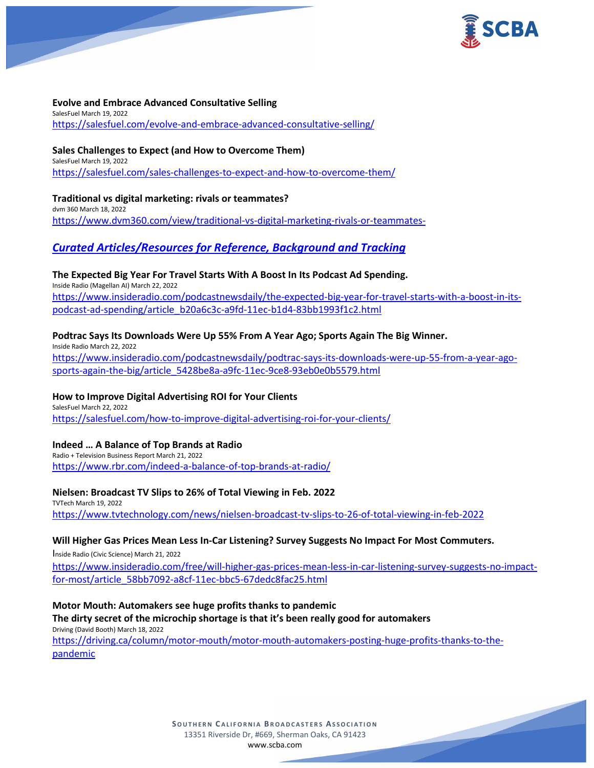

## **Evolve and Embrace Advanced Consultative Selling**

SalesFuel March 19, 2022 <https://salesfuel.com/evolve-and-embrace-advanced-consultative-selling/>

## **Sales Challenges to Expect (and How to Overcome Them)**

SalesFuel March 19, 2022 <https://salesfuel.com/sales-challenges-to-expect-and-how-to-overcome-them/>

**Traditional vs digital marketing: rivals or teammates?** dvm 360 March 18, 2022

<https://www.dvm360.com/view/traditional-vs-digital-marketing-rivals-or-teammates->

# *Curated Articles/Resources for Reference, Background and Tracking*

# **The Expected Big Year For Travel Starts With A Boost In Its Podcast Ad Spending.**

Inside Radio (Magellan AI) March 22, 2022 [https://www.insideradio.com/podcastnewsdaily/the-expected-big-year-for-travel-starts-with-a-boost-in-its](https://www.insideradio.com/podcastnewsdaily/the-expected-big-year-for-travel-starts-with-a-boost-in-its-podcast-ad-spending/article_b20a6c3c-a9fd-11ec-b1d4-83bb1993f1c2.html)[podcast-ad-spending/article\\_b20a6c3c-a9fd-11ec-b1d4-83bb1993f1c2.html](https://www.insideradio.com/podcastnewsdaily/the-expected-big-year-for-travel-starts-with-a-boost-in-its-podcast-ad-spending/article_b20a6c3c-a9fd-11ec-b1d4-83bb1993f1c2.html)

# **Podtrac Says Its Downloads Were Up 55% From A Year Ago; Sports Again The Big Winner.**

Inside Radio March 22, 2022 [https://www.insideradio.com/podcastnewsdaily/podtrac-says-its-downloads-were-up-55-from-a-year-ago](https://www.insideradio.com/podcastnewsdaily/podtrac-says-its-downloads-were-up-55-from-a-year-ago-sports-again-the-big/article_5428be8a-a9fc-11ec-9ce8-93eb0e0b5579.html)[sports-again-the-big/article\\_5428be8a-a9fc-11ec-9ce8-93eb0e0b5579.html](https://www.insideradio.com/podcastnewsdaily/podtrac-says-its-downloads-were-up-55-from-a-year-ago-sports-again-the-big/article_5428be8a-a9fc-11ec-9ce8-93eb0e0b5579.html)

# **How to Improve Digital Advertising ROI for Your Clients**

SalesFuel March 22, 2022 <https://salesfuel.com/how-to-improve-digital-advertising-roi-for-your-clients/>

# **Indeed … A Balance of Top Brands at Radio**

Radio + Television Business Report March 21, 2022 <https://www.rbr.com/indeed-a-balance-of-top-brands-at-radio/>

#### **Nielsen: Broadcast TV Slips to 26% of Total Viewing in Feb. 2022**

TVTech March 19, 2022 <https://www.tvtechnology.com/news/nielsen-broadcast-tv-slips-to-26-of-total-viewing-in-feb-2022>

# **Will Higher Gas Prices Mean Less In-Car Listening? Survey Suggests No Impact For Most Commuters.**

Inside Radio (Civic Science) March 21, 2022

[https://www.insideradio.com/free/will-higher-gas-prices-mean-less-in-car-listening-survey-suggests-no-impact](https://www.insideradio.com/free/will-higher-gas-prices-mean-less-in-car-listening-survey-suggests-no-impact-for-most/article_58bb7092-a8cf-11ec-bbc5-67dedc8fac25.html)[for-most/article\\_58bb7092-a8cf-11ec-bbc5-67dedc8fac25.html](https://www.insideradio.com/free/will-higher-gas-prices-mean-less-in-car-listening-survey-suggests-no-impact-for-most/article_58bb7092-a8cf-11ec-bbc5-67dedc8fac25.html)

## **Motor Mouth: Automakers see huge profits thanks to pandemic The dirty secret of the microchip shortage is that it's been really good for automakers**

Driving (David Booth) March 18, 2022

[https://driving.ca/column/motor-mouth/motor-mouth-automakers-posting-huge-profits-thanks-to-the](https://driving.ca/column/motor-mouth/motor-mouth-automakers-posting-huge-profits-thanks-to-the-pandemic)[pandemic](https://driving.ca/column/motor-mouth/motor-mouth-automakers-posting-huge-profits-thanks-to-the-pandemic)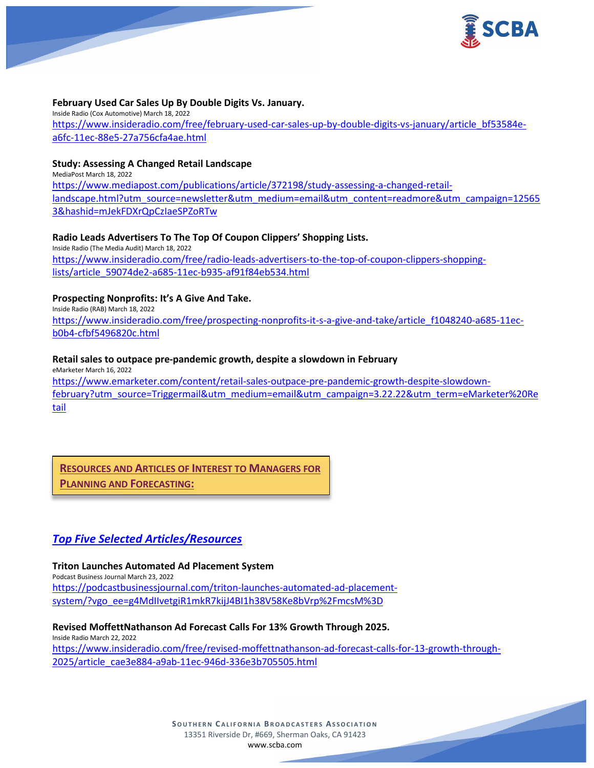

## **February Used Car Sales Up By Double Digits Vs. January.**

Inside Radio (Cox Automotive) March 18, 2022 [https://www.insideradio.com/free/february-used-car-sales-up-by-double-digits-vs-january/article\\_bf53584e](https://www.insideradio.com/free/february-used-car-sales-up-by-double-digits-vs-january/article_bf53584e-a6fc-11ec-88e5-27a756cfa4ae.html)[a6fc-11ec-88e5-27a756cfa4ae.html](https://www.insideradio.com/free/february-used-car-sales-up-by-double-digits-vs-january/article_bf53584e-a6fc-11ec-88e5-27a756cfa4ae.html)

## **Study: Assessing A Changed Retail Landscape**

MediaPost March 18, 2022 [https://www.mediapost.com/publications/article/372198/study-assessing-a-changed-retail](https://www.mediapost.com/publications/article/372198/study-assessing-a-changed-retail-landscape.html?utm_source=newsletter&utm_medium=email&utm_content=readmore&utm_campaign=125653&hashid=mJekFDXrQpCzIaeSPZoRTw)[landscape.html?utm\\_source=newsletter&utm\\_medium=email&utm\\_content=readmore&utm\\_campaign=12565](https://www.mediapost.com/publications/article/372198/study-assessing-a-changed-retail-landscape.html?utm_source=newsletter&utm_medium=email&utm_content=readmore&utm_campaign=125653&hashid=mJekFDXrQpCzIaeSPZoRTw) [3&hashid=mJekFDXrQpCzIaeSPZoRTw](https://www.mediapost.com/publications/article/372198/study-assessing-a-changed-retail-landscape.html?utm_source=newsletter&utm_medium=email&utm_content=readmore&utm_campaign=125653&hashid=mJekFDXrQpCzIaeSPZoRTw)

## **Radio Leads Advertisers To The Top Of Coupon Clippers' Shopping Lists.**

Inside Radio (The Media Audit) March 18, 2022 [https://www.insideradio.com/free/radio-leads-advertisers-to-the-top-of-coupon-clippers-shopping](https://www.insideradio.com/free/radio-leads-advertisers-to-the-top-of-coupon-clippers-shopping-lists/article_59074de2-a685-11ec-b935-af91f84eb534.html)[lists/article\\_59074de2-a685-11ec-b935-af91f84eb534.html](https://www.insideradio.com/free/radio-leads-advertisers-to-the-top-of-coupon-clippers-shopping-lists/article_59074de2-a685-11ec-b935-af91f84eb534.html)

## **Prospecting Nonprofits: It's A Give And Take.**

Inside Radio (RAB) March 18, 2022 [https://www.insideradio.com/free/prospecting-nonprofits-it-s-a-give-and-take/article\\_f1048240-a685-11ec](https://www.insideradio.com/free/prospecting-nonprofits-it-s-a-give-and-take/article_f1048240-a685-11ec-b0b4-cfbf5496820c.html)[b0b4-cfbf5496820c.html](https://www.insideradio.com/free/prospecting-nonprofits-it-s-a-give-and-take/article_f1048240-a685-11ec-b0b4-cfbf5496820c.html)

## **Retail sales to outpace pre-pandemic growth, despite a slowdown in February**

eMarketer March 16, 2022 [https://www.emarketer.com/content/retail-sales-outpace-pre-pandemic-growth-despite-slowdown](https://www.emarketer.com/content/retail-sales-outpace-pre-pandemic-growth-despite-slowdown-february?utm_source=Triggermail&utm_medium=email&utm_campaign=3.22.22&utm_term=eMarketer%20Retail)[february?utm\\_source=Triggermail&utm\\_medium=email&utm\\_campaign=3.22.22&utm\\_term=eMarketer%20Re](https://www.emarketer.com/content/retail-sales-outpace-pre-pandemic-growth-despite-slowdown-february?utm_source=Triggermail&utm_medium=email&utm_campaign=3.22.22&utm_term=eMarketer%20Retail) [tail](https://www.emarketer.com/content/retail-sales-outpace-pre-pandemic-growth-despite-slowdown-february?utm_source=Triggermail&utm_medium=email&utm_campaign=3.22.22&utm_term=eMarketer%20Retail)

**RESOURCES AND ARTICLES OF INTEREST TO MANAGERS FOR PLANNING AND FORECASTING:**

# *Top Five Selected Articles/Resources*

**Triton Launches Automated Ad Placement System** Podcast Business Journal March 23, 2022 [https://podcastbusinessjournal.com/triton-launches-automated-ad-placement](https://podcastbusinessjournal.com/triton-launches-automated-ad-placement-system/?vgo_ee=g4MdIIvetgiR1mkR7kijJ4BI1h38V58Ke8bVrp%2FmcsM%3D)[system/?vgo\\_ee=g4MdIIvetgiR1mkR7kijJ4BI1h38V58Ke8bVrp%2FmcsM%3D](https://podcastbusinessjournal.com/triton-launches-automated-ad-placement-system/?vgo_ee=g4MdIIvetgiR1mkR7kijJ4BI1h38V58Ke8bVrp%2FmcsM%3D)

**Revised MoffettNathanson Ad Forecast Calls For 13% Growth Through 2025.** Inside Radio March 22, 2022 [https://www.insideradio.com/free/revised-moffettnathanson-ad-forecast-calls-for-13-growth-through-](https://www.insideradio.com/free/revised-moffettnathanson-ad-forecast-calls-for-13-growth-through-2025/article_cae3e884-a9ab-11ec-946d-336e3b705505.html)[2025/article\\_cae3e884-a9ab-11ec-946d-336e3b705505.html](https://www.insideradio.com/free/revised-moffettnathanson-ad-forecast-calls-for-13-growth-through-2025/article_cae3e884-a9ab-11ec-946d-336e3b705505.html)

> **SOUTHERN C ALIFORNIA B ROADCASTERS ASSOCIATION** 13351 Riverside Dr, #669, Sherman Oaks, CA 91423 [www.scba.com](http://www.scba.com/)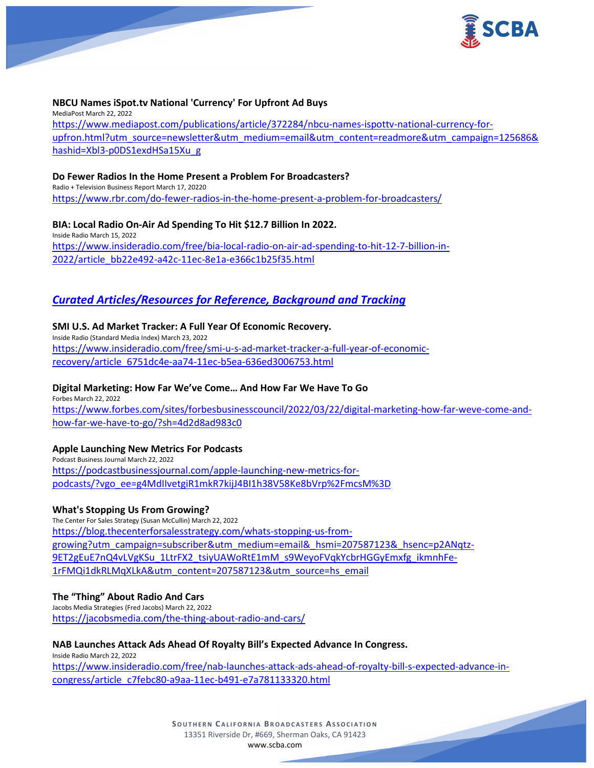

## **NBCU Names iSpot.tv National 'Currency' For Upfront Ad Buys**

MediaPost March 22, 2022 [https://www.mediapost.com/publications/article/372284/nbcu-names-ispottv-national-currency-for](https://www.mediapost.com/publications/article/372284/nbcu-names-ispottv-national-currency-for-upfron.html?utm_source=newsletter&utm_medium=email&utm_content=readmore&utm_campaign=125686&hashid=Xbl3-p0DS1exdHSa15Xu_g)[upfron.html?utm\\_source=newsletter&utm\\_medium=email&utm\\_content=readmore&utm\\_campaign=125686&](https://www.mediapost.com/publications/article/372284/nbcu-names-ispottv-national-currency-for-upfron.html?utm_source=newsletter&utm_medium=email&utm_content=readmore&utm_campaign=125686&hashid=Xbl3-p0DS1exdHSa15Xu_g) [hashid=Xbl3-p0DS1exdHSa15Xu\\_g](https://www.mediapost.com/publications/article/372284/nbcu-names-ispottv-national-currency-for-upfron.html?utm_source=newsletter&utm_medium=email&utm_content=readmore&utm_campaign=125686&hashid=Xbl3-p0DS1exdHSa15Xu_g)

#### **Do Fewer Radios In the Home Present a Problem For Broadcasters?**

Radio + Television Business Report March 17, 20220 <https://www.rbr.com/do-fewer-radios-in-the-home-present-a-problem-for-broadcasters/>

#### **BIA: Local Radio On-Air Ad Spending To Hit \$12.7 Billion In 2022.**

Inside Radio March 15, 2022 [https://www.insideradio.com/free/bia-local-radio-on-air-ad-spending-to-hit-12-7-billion-in-](https://www.insideradio.com/free/bia-local-radio-on-air-ad-spending-to-hit-12-7-billion-in-2022/article_bb22e492-a42c-11ec-8e1a-e366c1b25f35.html)[2022/article\\_bb22e492-a42c-11ec-8e1a-e366c1b25f35.html](https://www.insideradio.com/free/bia-local-radio-on-air-ad-spending-to-hit-12-7-billion-in-2022/article_bb22e492-a42c-11ec-8e1a-e366c1b25f35.html)

# *Curated Articles/Resources for Reference, Background and Tracking*

## **SMI U.S. Ad Market Tracker: A Full Year Of Economic Recovery.**

Inside Radio (Standard Media Index) March 23, 2022 [https://www.insideradio.com/free/smi-u-s-ad-market-tracker-a-full-year-of-economic](https://www.insideradio.com/free/smi-u-s-ad-market-tracker-a-full-year-of-economic-recovery/article_6751dc4e-aa74-11ec-b5ea-636ed3006753.html)[recovery/article\\_6751dc4e-aa74-11ec-b5ea-636ed3006753.html](https://www.insideradio.com/free/smi-u-s-ad-market-tracker-a-full-year-of-economic-recovery/article_6751dc4e-aa74-11ec-b5ea-636ed3006753.html)

#### **Digital Marketing: How Far We've Come… And How Far We Have To Go**

Forbes March 22, 2022 [https://www.forbes.com/sites/forbesbusinesscouncil/2022/03/22/digital-marketing-how-far-weve-come-and](https://www.forbes.com/sites/forbesbusinesscouncil/2022/03/22/digital-marketing-how-far-weve-come-and-how-far-we-have-to-go/?sh=4d2d8ad983c0)[how-far-we-have-to-go/?sh=4d2d8ad983c0](https://www.forbes.com/sites/forbesbusinesscouncil/2022/03/22/digital-marketing-how-far-weve-come-and-how-far-we-have-to-go/?sh=4d2d8ad983c0)

#### **Apple Launching New Metrics For Podcasts**

Podcast Business Journal March 22, 2022 [https://podcastbusinessjournal.com/apple-launching-new-metrics-for](https://podcastbusinessjournal.com/apple-launching-new-metrics-for-podcasts/?vgo_ee=g4MdIIvetgiR1mkR7kijJ4BI1h38V58Ke8bVrp%2FmcsM%3D)[podcasts/?vgo\\_ee=g4MdIIvetgiR1mkR7kijJ4BI1h38V58Ke8bVrp%2FmcsM%3D](https://podcastbusinessjournal.com/apple-launching-new-metrics-for-podcasts/?vgo_ee=g4MdIIvetgiR1mkR7kijJ4BI1h38V58Ke8bVrp%2FmcsM%3D)

#### **What's Stopping Us From Growing?**

The Center For Sales Strategy (Susan McCullin) March 22, 2022 [https://blog.thecenterforsalesstrategy.com/whats-stopping-us-from](https://blog.thecenterforsalesstrategy.com/whats-stopping-us-from-growing?utm_campaign=subscriber&utm_medium=email&_hsmi=207587123&_hsenc=p2ANqtz-9ET2gEuE7nQ4vLVgKSu_1LtrFX2_tsiyUAWoRtE1mM_s9WeyoFVqkYcbrHGGyEmxfg_ikmnhFe-1rFMQi1dkRLMqXLkA&utm_content=207587123&utm_source=hs_email)[growing?utm\\_campaign=subscriber&utm\\_medium=email&\\_hsmi=207587123&\\_hsenc=p2ANqtz-](https://blog.thecenterforsalesstrategy.com/whats-stopping-us-from-growing?utm_campaign=subscriber&utm_medium=email&_hsmi=207587123&_hsenc=p2ANqtz-9ET2gEuE7nQ4vLVgKSu_1LtrFX2_tsiyUAWoRtE1mM_s9WeyoFVqkYcbrHGGyEmxfg_ikmnhFe-1rFMQi1dkRLMqXLkA&utm_content=207587123&utm_source=hs_email)[9ET2gEuE7nQ4vLVgKSu\\_1LtrFX2\\_tsiyUAWoRtE1mM\\_s9WeyoFVqkYcbrHGGyEmxfg\\_ikmnhFe-](https://blog.thecenterforsalesstrategy.com/whats-stopping-us-from-growing?utm_campaign=subscriber&utm_medium=email&_hsmi=207587123&_hsenc=p2ANqtz-9ET2gEuE7nQ4vLVgKSu_1LtrFX2_tsiyUAWoRtE1mM_s9WeyoFVqkYcbrHGGyEmxfg_ikmnhFe-1rFMQi1dkRLMqXLkA&utm_content=207587123&utm_source=hs_email)[1rFMQi1dkRLMqXLkA&utm\\_content=207587123&utm\\_source=hs\\_email](https://blog.thecenterforsalesstrategy.com/whats-stopping-us-from-growing?utm_campaign=subscriber&utm_medium=email&_hsmi=207587123&_hsenc=p2ANqtz-9ET2gEuE7nQ4vLVgKSu_1LtrFX2_tsiyUAWoRtE1mM_s9WeyoFVqkYcbrHGGyEmxfg_ikmnhFe-1rFMQi1dkRLMqXLkA&utm_content=207587123&utm_source=hs_email)

#### **The "Thing" About Radio And Cars**

Jacobs Media Strategies (Fred Jacobs) March 22, 2022 <https://jacobsmedia.com/the-thing-about-radio-and-cars/>

## **NAB Launches Attack Ads Ahead Of Royalty Bill's Expected Advance In Congress.**

Inside Radio March 22, 2022 [https://www.insideradio.com/free/nab-launches-attack-ads-ahead-of-royalty-bill-s-expected-advance-in](https://www.insideradio.com/free/nab-launches-attack-ads-ahead-of-royalty-bill-s-expected-advance-in-congress/article_c7febc80-a9aa-11ec-b491-e7a781133320.html)[congress/article\\_c7febc80-a9aa-11ec-b491-e7a781133320.html](https://www.insideradio.com/free/nab-launches-attack-ads-ahead-of-royalty-bill-s-expected-advance-in-congress/article_c7febc80-a9aa-11ec-b491-e7a781133320.html)

> **SOUTHERN C ALIFORNIA B ROADCASTERS ASSOCIATION** 13351 Riverside Dr, #669, Sherman Oaks, CA 91423 [www.scba.com](http://www.scba.com/)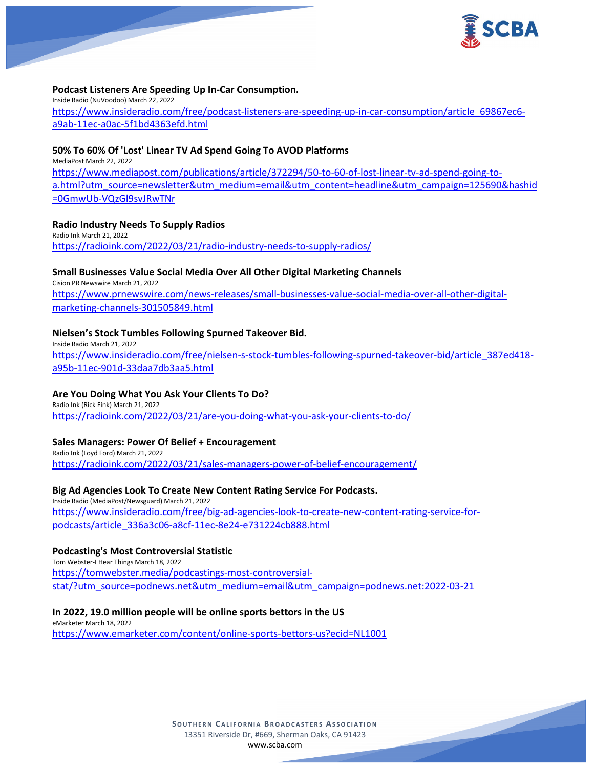

## **Podcast Listeners Are Speeding Up In-Car Consumption.**

Inside Radio (NuVoodoo) March 22, 2022 [https://www.insideradio.com/free/podcast-listeners-are-speeding-up-in-car-consumption/article\\_69867ec6](https://www.insideradio.com/free/podcast-listeners-are-speeding-up-in-car-consumption/article_69867ec6-a9ab-11ec-a0ac-5f1bd4363efd.html) [a9ab-11ec-a0ac-5f1bd4363efd.html](https://www.insideradio.com/free/podcast-listeners-are-speeding-up-in-car-consumption/article_69867ec6-a9ab-11ec-a0ac-5f1bd4363efd.html)

#### **50% To 60% Of 'Lost' Linear TV Ad Spend Going To AVOD Platforms**

MediaPost March 22, 2022 [https://www.mediapost.com/publications/article/372294/50-to-60-of-lost-linear-tv-ad-spend-going-to](https://www.mediapost.com/publications/article/372294/50-to-60-of-lost-linear-tv-ad-spend-going-to-a.html?utm_source=newsletter&utm_medium=email&utm_content=headline&utm_campaign=125690&hashid=0GmwUb-VQzGl9svJRwTNr)[a.html?utm\\_source=newsletter&utm\\_medium=email&utm\\_content=headline&utm\\_campaign=125690&hashid](https://www.mediapost.com/publications/article/372294/50-to-60-of-lost-linear-tv-ad-spend-going-to-a.html?utm_source=newsletter&utm_medium=email&utm_content=headline&utm_campaign=125690&hashid=0GmwUb-VQzGl9svJRwTNr) [=0GmwUb-VQzGl9svJRwTNr](https://www.mediapost.com/publications/article/372294/50-to-60-of-lost-linear-tv-ad-spend-going-to-a.html?utm_source=newsletter&utm_medium=email&utm_content=headline&utm_campaign=125690&hashid=0GmwUb-VQzGl9svJRwTNr)

## **Radio Industry Needs To Supply Radios**

Radio Ink March 21, 2022 <https://radioink.com/2022/03/21/radio-industry-needs-to-supply-radios/>

## **Small Businesses Value Social Media Over All Other Digital Marketing Channels**

Cision PR Newswire March 21, 2022 [https://www.prnewswire.com/news-releases/small-businesses-value-social-media-over-all-other-digital](https://www.prnewswire.com/news-releases/small-businesses-value-social-media-over-all-other-digital-marketing-channels-301505849.html)[marketing-channels-301505849.html](https://www.prnewswire.com/news-releases/small-businesses-value-social-media-over-all-other-digital-marketing-channels-301505849.html)

#### **Nielsen's Stock Tumbles Following Spurned Takeover Bid.**

Inside Radio March 21, 2022 [https://www.insideradio.com/free/nielsen-s-stock-tumbles-following-spurned-takeover-bid/article\\_387ed418](https://www.insideradio.com/free/nielsen-s-stock-tumbles-following-spurned-takeover-bid/article_387ed418-a95b-11ec-901d-33daa7db3aa5.html) [a95b-11ec-901d-33daa7db3aa5.html](https://www.insideradio.com/free/nielsen-s-stock-tumbles-following-spurned-takeover-bid/article_387ed418-a95b-11ec-901d-33daa7db3aa5.html)

## **Are You Doing What You Ask Your Clients To Do?**

Radio Ink (Rick Fink) March 21, 2022 <https://radioink.com/2022/03/21/are-you-doing-what-you-ask-your-clients-to-do/>

## **Sales Managers: Power Of Belief + Encouragement**

Radio Ink (Loyd Ford) March 21, 2022 <https://radioink.com/2022/03/21/sales-managers-power-of-belief-encouragement/>

## **Big Ad Agencies Look To Create New Content Rating Service For Podcasts.**

Inside Radio (MediaPost/Newsguard) March 21, 2022 [https://www.insideradio.com/free/big-ad-agencies-look-to-create-new-content-rating-service-for](https://www.insideradio.com/free/big-ad-agencies-look-to-create-new-content-rating-service-for-podcasts/article_336a3c06-a8cf-11ec-8e24-e731224cb888.html)[podcasts/article\\_336a3c06-a8cf-11ec-8e24-e731224cb888.html](https://www.insideradio.com/free/big-ad-agencies-look-to-create-new-content-rating-service-for-podcasts/article_336a3c06-a8cf-11ec-8e24-e731224cb888.html)

# **Podcasting's Most Controversial Statistic**

Tom Webster-I Hear Things March 18, 2022 [https://tomwebster.media/podcastings-most-controversial](https://tomwebster.media/podcastings-most-controversial-stat/?utm_source=podnews.net&utm_medium=email&utm_campaign=podnews.net:2022-03-21)[stat/?utm\\_source=podnews.net&utm\\_medium=email&utm\\_campaign=podnews.net:2022-03-21](https://tomwebster.media/podcastings-most-controversial-stat/?utm_source=podnews.net&utm_medium=email&utm_campaign=podnews.net:2022-03-21)

#### **In 2022, 19.0 million people will be online sports bettors in the US**

eMarketer March 18, 2022 <https://www.emarketer.com/content/online-sports-bettors-us?ecid=NL1001>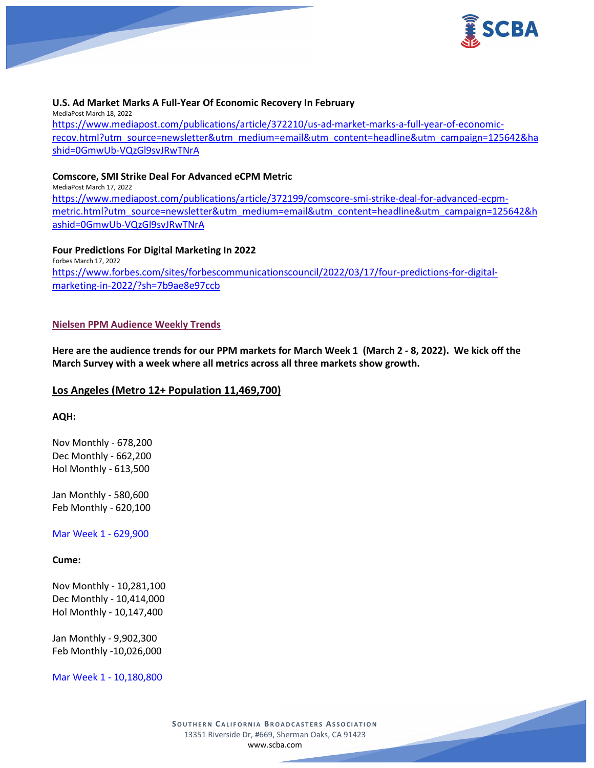

## **U.S. Ad Market Marks A Full-Year Of Economic Recovery In February**

MediaPost March 18, 2022 [https://www.mediapost.com/publications/article/372210/us-ad-market-marks-a-full-year-of-economic](https://www.mediapost.com/publications/article/372210/us-ad-market-marks-a-full-year-of-economic-recov.html?utm_source=newsletter&utm_medium=email&utm_content=headline&utm_campaign=125642&hashid=0GmwUb-VQzGl9svJRwTNrA)[recov.html?utm\\_source=newsletter&utm\\_medium=email&utm\\_content=headline&utm\\_campaign=125642&ha](https://www.mediapost.com/publications/article/372210/us-ad-market-marks-a-full-year-of-economic-recov.html?utm_source=newsletter&utm_medium=email&utm_content=headline&utm_campaign=125642&hashid=0GmwUb-VQzGl9svJRwTNrA) [shid=0GmwUb-VQzGl9svJRwTNrA](https://www.mediapost.com/publications/article/372210/us-ad-market-marks-a-full-year-of-economic-recov.html?utm_source=newsletter&utm_medium=email&utm_content=headline&utm_campaign=125642&hashid=0GmwUb-VQzGl9svJRwTNrA)

#### **Comscore, SMI Strike Deal For Advanced eCPM Metric**

MediaPost March 17, 2022 [https://www.mediapost.com/publications/article/372199/comscore-smi-strike-deal-for-advanced-ecpm](https://www.mediapost.com/publications/article/372199/comscore-smi-strike-deal-for-advanced-ecpm-metric.html?utm_source=newsletter&utm_medium=email&utm_content=headline&utm_campaign=125642&hashid=0GmwUb-VQzGl9svJRwTNrA)[metric.html?utm\\_source=newsletter&utm\\_medium=email&utm\\_content=headline&utm\\_campaign=125642&h](https://www.mediapost.com/publications/article/372199/comscore-smi-strike-deal-for-advanced-ecpm-metric.html?utm_source=newsletter&utm_medium=email&utm_content=headline&utm_campaign=125642&hashid=0GmwUb-VQzGl9svJRwTNrA) [ashid=0GmwUb-VQzGl9svJRwTNrA](https://www.mediapost.com/publications/article/372199/comscore-smi-strike-deal-for-advanced-ecpm-metric.html?utm_source=newsletter&utm_medium=email&utm_content=headline&utm_campaign=125642&hashid=0GmwUb-VQzGl9svJRwTNrA)

**Four Predictions For Digital Marketing In 2022** Forbes March 17, 2022 [https://www.forbes.com/sites/forbescommunicationscouncil/2022/03/17/four-predictions-for-digital](https://www.forbes.com/sites/forbescommunicationscouncil/2022/03/17/four-predictions-for-digital-marketing-in-2022/?sh=7b9ae8e97ccb)[marketing-in-2022/?sh=7b9ae8e97ccb](https://www.forbes.com/sites/forbescommunicationscouncil/2022/03/17/four-predictions-for-digital-marketing-in-2022/?sh=7b9ae8e97ccb)

#### **Nielsen PPM Audience Weekly Trends**

**Here are the audience trends for our PPM markets for March Week 1 (March 2 - 8, 2022). We kick off the March Survey with a week where all metrics across all three markets show growth.**

#### **Los Angeles (Metro 12+ Population 11,469,700)**

#### **AQH:**

Nov Monthly - 678,200 Dec Monthly - 662,200 Hol Monthly - 613,500

Jan Monthly - 580,600 Feb Monthly - 620,100

Mar Week 1 - 629,900

**Cume:**

Nov Monthly - 10,281,100 Dec Monthly - 10,414,000 Hol Monthly - 10,147,400

Jan Monthly - 9,902,300 Feb Monthly -10,026,000

Mar Week 1 - 10,180,800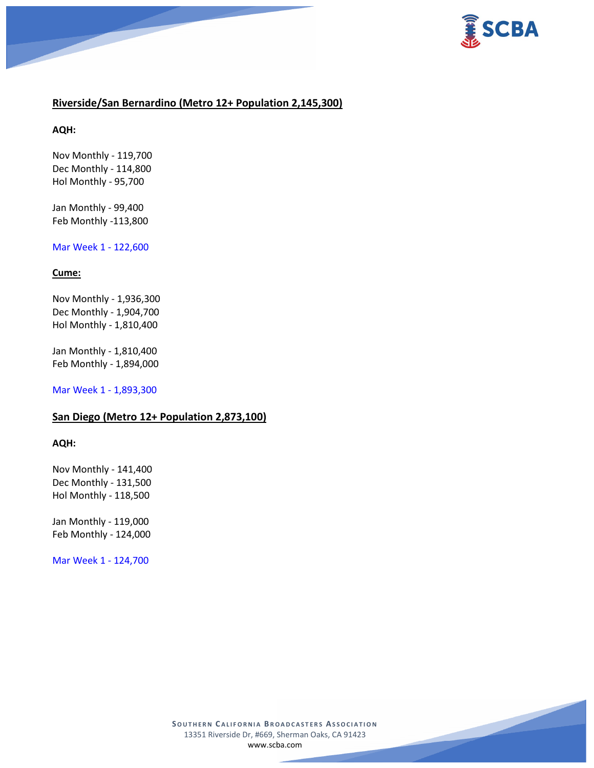



# **Riverside/San Bernardino (Metro 12+ Population 2,145,300)**

**AQH:**

Nov Monthly - 119,700 Dec Monthly - 114,800 Hol Monthly - 95,700

Jan Monthly - 99,400 Feb Monthly -113,800

# Mar Week 1 - 122,600

## **Cume:**

Nov Monthly - 1,936,300 Dec Monthly - 1,904,700 Hol Monthly - 1,810,400

Jan Monthly - 1,810,400 Feb Monthly - 1,894,000

Mar Week 1 - 1,893,300

# **San Diego (Metro 12+ Population 2,873,100)**

#### **AQH:**

Nov Monthly - 141,400 Dec Monthly - 131,500 Hol Monthly - 118,500

Jan Monthly - 119,000 Feb Monthly - 124,000

Mar Week 1 - 124,700